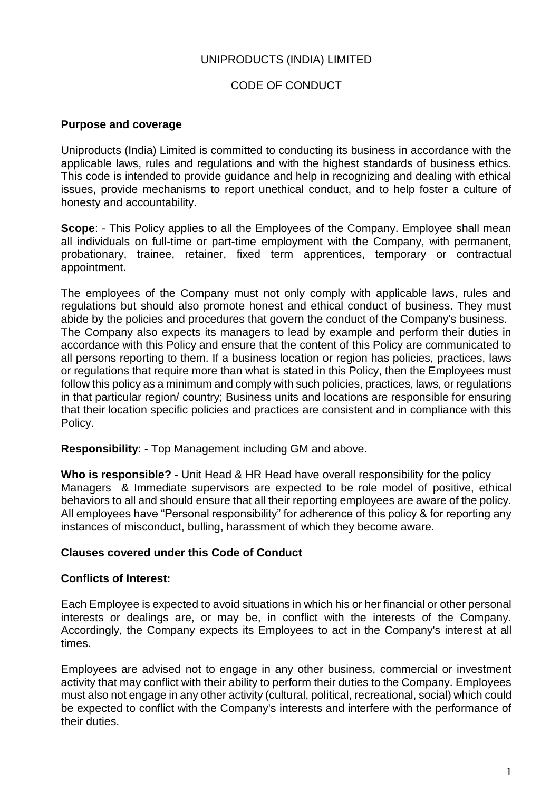## UNIPRODUCTS (INDIA) LIMITED

## CODE OF CONDUCT

#### **Purpose and coverage**

Uniproducts (India) Limited is committed to conducting its business in accordance with the applicable laws, rules and regulations and with the highest standards of business ethics. This code is intended to provide guidance and help in recognizing and dealing with ethical issues, provide mechanisms to report unethical conduct, and to help foster a culture of honesty and accountability.

**Scope:** - This Policy applies to all the Employees of the Company. Employee shall mean all individuals on full-time or part-time employment with the Company, with permanent, probationary, trainee, retainer, fixed term apprentices, temporary or contractual appointment.

The employees of the Company must not only comply with applicable laws, rules and regulations but should also promote honest and ethical conduct of business. They must abide by the policies and procedures that govern the conduct of the Company's business. The Company also expects its managers to lead by example and perform their duties in accordance with this Policy and ensure that the content of this Policy are communicated to all persons reporting to them. If a business location or region has policies, practices, laws or regulations that require more than what is stated in this Policy, then the Employees must follow this policy as a minimum and comply with such policies, practices, laws, or regulations in that particular region/ country; Business units and locations are responsible for ensuring that their location specific policies and practices are consistent and in compliance with this Policy.

**Responsibility**: - Top Management including GM and above.

**Who is responsible?** - Unit Head & HR Head have overall responsibility for the policy Managers & Immediate supervisors are expected to be role model of positive, ethical behaviors to all and should ensure that all their reporting employees are aware of the policy. All employees have "Personal responsibility" for adherence of this policy & for reporting any instances of misconduct, bulling, harassment of which they become aware.

#### **Clauses covered under this Code of Conduct**

#### **Conflicts of Interest:**

Each Employee is expected to avoid situations in which his or her financial or other personal interests or dealings are, or may be, in conflict with the interests of the Company. Accordingly, the Company expects its Employees to act in the Company's interest at all times.

Employees are advised not to engage in any other business, commercial or investment activity that may conflict with their ability to perform their duties to the Company. Employees must also not engage in any other activity (cultural, political, recreational, social) which could be expected to conflict with the Company's interests and interfere with the performance of their duties.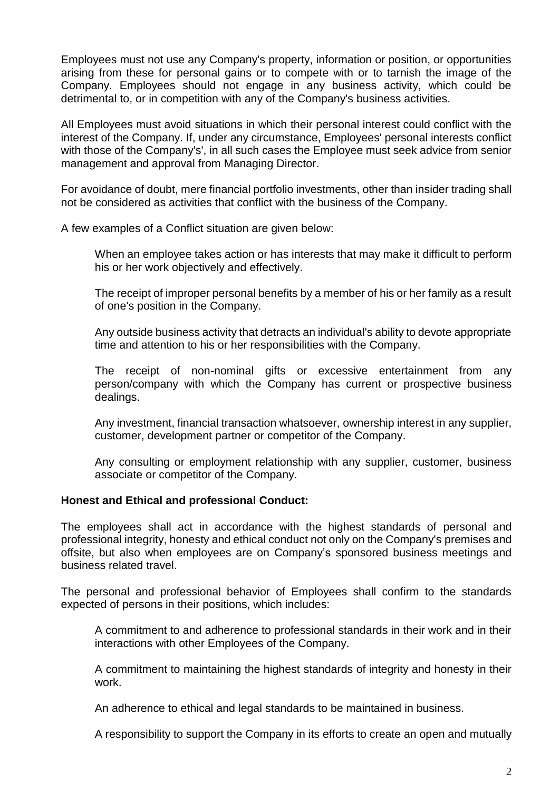Employees must not use any Company's property, information or position, or opportunities arising from these for personal gains or to compete with or to tarnish the image of the Company. Employees should not engage in any business activity, which could be detrimental to, or in competition with any of the Company's business activities.

All Employees must avoid situations in which their personal interest could conflict with the interest of the Company. If, under any circumstance, Employees' personal interests conflict with those of the Company's', in all such cases the Employee must seek advice from senior management and approval from Managing Director.

For avoidance of doubt, mere financial portfolio investments, other than insider trading shall not be considered as activities that conflict with the business of the Company.

A few examples of a Conflict situation are given below:

When an employee takes action or has interests that may make it difficult to perform his or her work objectively and effectively.

The receipt of improper personal benefits by a member of his or her family as a result of one's position in the Company.

Any outside business activity that detracts an individual's ability to devote appropriate time and attention to his or her responsibilities with the Company.

The receipt of non-nominal gifts or excessive entertainment from any person/company with which the Company has current or prospective business dealings.

Any investment, financial transaction whatsoever, ownership interest in any supplier, customer, development partner or competitor of the Company.

Any consulting or employment relationship with any supplier, customer, business associate or competitor of the Company.

## **Honest and Ethical and professional Conduct:**

The employees shall act in accordance with the highest standards of personal and professional integrity, honesty and ethical conduct not only on the Company's premises and offsite, but also when employees are on Company's sponsored business meetings and business related travel.

The personal and professional behavior of Employees shall confirm to the standards expected of persons in their positions, which includes:

A commitment to and adherence to professional standards in their work and in their interactions with other Employees of the Company.

A commitment to maintaining the highest standards of integrity and honesty in their work.

An adherence to ethical and legal standards to be maintained in business.

A responsibility to support the Company in its efforts to create an open and mutually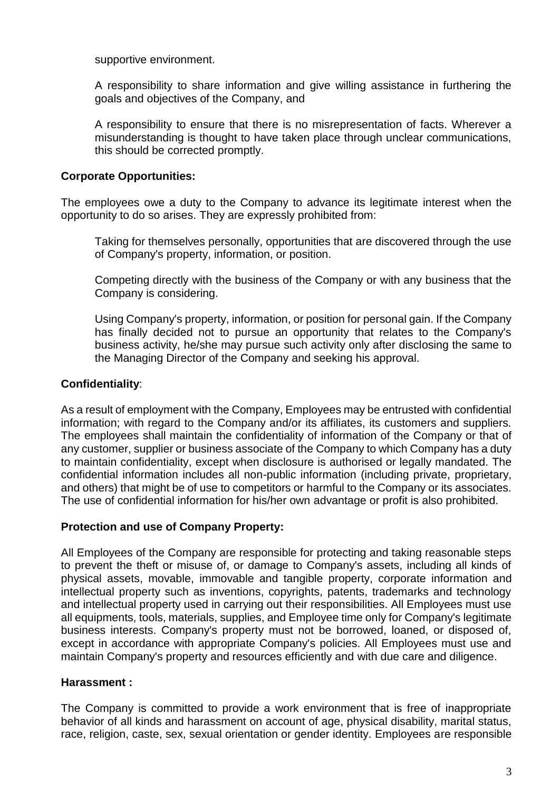supportive environment.

A responsibility to share information and give willing assistance in furthering the goals and objectives of the Company, and

A responsibility to ensure that there is no misrepresentation of facts. Wherever a misunderstanding is thought to have taken place through unclear communications, this should be corrected promptly.

## **Corporate Opportunities:**

The employees owe a duty to the Company to advance its legitimate interest when the opportunity to do so arises. They are expressly prohibited from:

Taking for themselves personally, opportunities that are discovered through the use of Company's property, information, or position.

Competing directly with the business of the Company or with any business that the Company is considering.

Using Company's property, information, or position for personal gain. If the Company has finally decided not to pursue an opportunity that relates to the Company's business activity, he/she may pursue such activity only after disclosing the same to the Managing Director of the Company and seeking his approval.

# **Confidentiality**:

As a result of employment with the Company, Employees may be entrusted with confidential information; with regard to the Company and/or its affiliates, its customers and suppliers. The employees shall maintain the confidentiality of information of the Company or that of any customer, supplier or business associate of the Company to which Company has a duty to maintain confidentiality, except when disclosure is authorised or legally mandated. The confidential information includes all non-public information (including private, proprietary, and others) that might be of use to competitors or harmful to the Company or its associates. The use of confidential information for his/her own advantage or profit is also prohibited.

## **Protection and use of Company Property:**

All Employees of the Company are responsible for protecting and taking reasonable steps to prevent the theft or misuse of, or damage to Company's assets, including all kinds of physical assets, movable, immovable and tangible property, corporate information and intellectual property such as inventions, copyrights, patents, trademarks and technology and intellectual property used in carrying out their responsibilities. All Employees must use all equipments, tools, materials, supplies, and Employee time only for Company's legitimate business interests. Company's property must not be borrowed, loaned, or disposed of, except in accordance with appropriate Company's policies. All Employees must use and maintain Company's property and resources efficiently and with due care and diligence.

## **Harassment :**

The Company is committed to provide a work environment that is free of inappropriate behavior of all kinds and harassment on account of age, physical disability, marital status, race, religion, caste, sex, sexual orientation or gender identity. Employees are responsible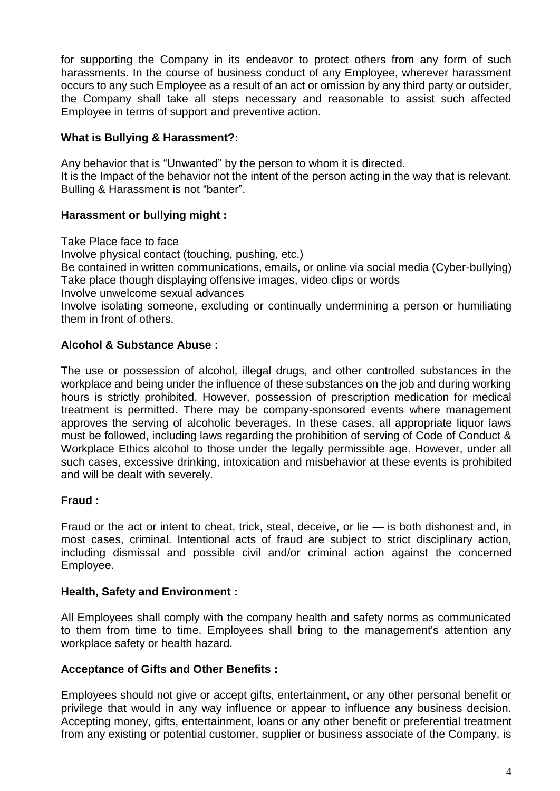for supporting the Company in its endeavor to protect others from any form of such harassments. In the course of business conduct of any Employee, wherever harassment occurs to any such Employee as a result of an act or omission by any third party or outsider, the Company shall take all steps necessary and reasonable to assist such affected Employee in terms of support and preventive action.

### **What is Bullying & Harassment?:**

Any behavior that is "Unwanted" by the person to whom it is directed. It is the Impact of the behavior not the intent of the person acting in the way that is relevant. Bulling & Harassment is not "banter".

## **Harassment or bullying might :**

Take Place face to face Involve physical contact (touching, pushing, etc.) Be contained in written communications, emails, or online via social media (Cyber-bullying) Take place though displaying offensive images, video clips or words Involve unwelcome sexual advances Involve isolating someone, excluding or continually undermining a person or humiliating them in front of others.

# **Alcohol & Substance Abuse :**

The use or possession of alcohol, illegal drugs, and other controlled substances in the workplace and being under the influence of these substances on the job and during working hours is strictly prohibited. However, possession of prescription medication for medical treatment is permitted. There may be company-sponsored events where management approves the serving of alcoholic beverages. In these cases, all appropriate liquor laws must be followed, including laws regarding the prohibition of serving of Code of Conduct & Workplace Ethics alcohol to those under the legally permissible age. However, under all such cases, excessive drinking, intoxication and misbehavior at these events is prohibited and will be dealt with severely.

## **Fraud :**

Fraud or the act or intent to cheat, trick, steal, deceive, or lie — is both dishonest and, in most cases, criminal. Intentional acts of fraud are subject to strict disciplinary action, including dismissal and possible civil and/or criminal action against the concerned Employee.

## **Health, Safety and Environment :**

All Employees shall comply with the company health and safety norms as communicated to them from time to time. Employees shall bring to the management's attention any workplace safety or health hazard.

#### **Acceptance of Gifts and Other Benefits :**

Employees should not give or accept gifts, entertainment, or any other personal benefit or privilege that would in any way influence or appear to influence any business decision. Accepting money, gifts, entertainment, loans or any other benefit or preferential treatment from any existing or potential customer, supplier or business associate of the Company, is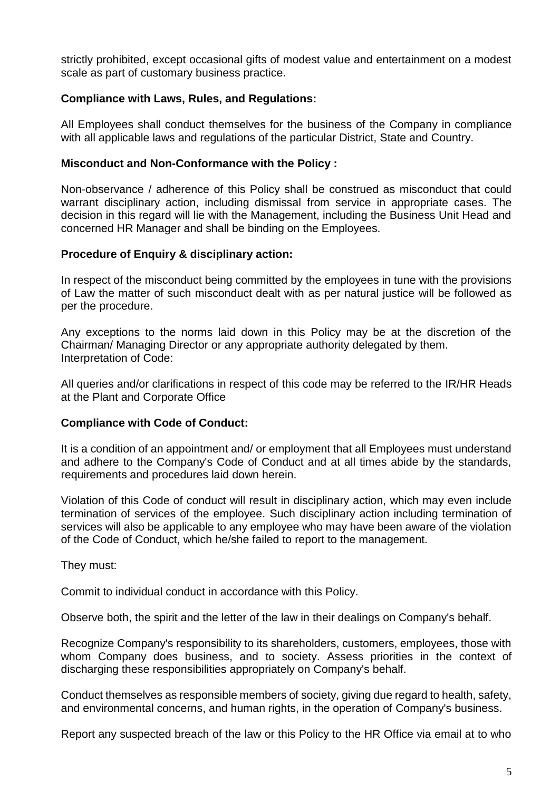strictly prohibited, except occasional gifts of modest value and entertainment on a modest scale as part of customary business practice.

### **Compliance with Laws, Rules, and Regulations:**

All Employees shall conduct themselves for the business of the Company in compliance with all applicable laws and regulations of the particular District, State and Country.

#### **Misconduct and Non-Conformance with the Policy :**

Non-observance / adherence of this Policy shall be construed as misconduct that could warrant disciplinary action, including dismissal from service in appropriate cases. The decision in this regard will lie with the Management, including the Business Unit Head and concerned HR Manager and shall be binding on the Employees.

#### **Procedure of Enquiry & disciplinary action:**

In respect of the misconduct being committed by the employees in tune with the provisions of Law the matter of such misconduct dealt with as per natural justice will be followed as per the procedure.

Any exceptions to the norms laid down in this Policy may be at the discretion of the Chairman/ Managing Director or any appropriate authority delegated by them. Interpretation of Code:

All queries and/or clarifications in respect of this code may be referred to the IR/HR Heads at the Plant and Corporate Office

#### **Compliance with Code of Conduct:**

It is a condition of an appointment and/ or employment that all Employees must understand and adhere to the Company's Code of Conduct and at all times abide by the standards, requirements and procedures laid down herein.

Violation of this Code of conduct will result in disciplinary action, which may even include termination of services of the employee. Such disciplinary action including termination of services will also be applicable to any employee who may have been aware of the violation of the Code of Conduct, which he/she failed to report to the management.

They must:

Commit to individual conduct in accordance with this Policy.

Observe both, the spirit and the letter of the law in their dealings on Company's behalf.

Recognize Company's responsibility to its shareholders, customers, employees, those with whom Company does business, and to society. Assess priorities in the context of discharging these responsibilities appropriately on Company's behalf.

Conduct themselves as responsible members of society, giving due regard to health, safety, and environmental concerns, and human rights, in the operation of Company's business.

Report any suspected breach of the law or this Policy to the HR Office via email at to who